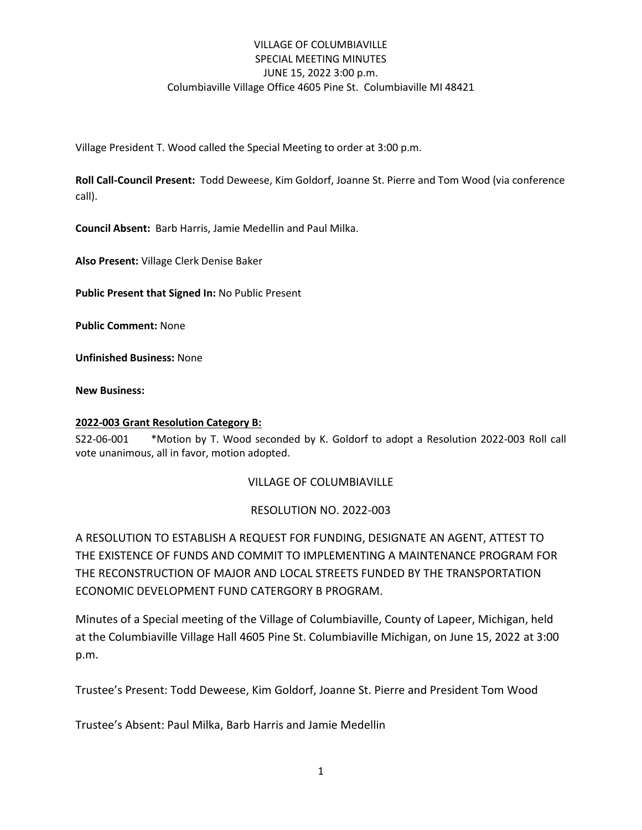## VILLAGE OF COLUMBIAVILLE SPECIAL MEETING MINUTES JUNE 15, 2022 3:00 p.m. Columbiaville Village Office 4605 Pine St. Columbiaville MI 48421

Village President T. Wood called the Special Meeting to order at 3:00 p.m.

**Roll Call-Council Present:** Todd Deweese, Kim Goldorf, Joanne St. Pierre and Tom Wood (via conference call).

**Council Absent:** Barb Harris, Jamie Medellin and Paul Milka.

**Also Present:** Village Clerk Denise Baker

**Public Present that Signed In:** No Public Present

**Public Comment:** None

**Unfinished Business:** None

**New Business:**

#### **2022-003 Grant Resolution Category B:**

S22-06-001 \*Motion by T. Wood seconded by K. Goldorf to adopt a Resolution 2022-003 Roll call vote unanimous, all in favor, motion adopted.

### VILLAGE OF COLUMBIAVILLE

### RESOLUTION NO. 2022-003

A RESOLUTION TO ESTABLISH A REQUEST FOR FUNDING, DESIGNATE AN AGENT, ATTEST TO THE EXISTENCE OF FUNDS AND COMMIT TO IMPLEMENTING A MAINTENANCE PROGRAM FOR THE RECONSTRUCTION OF MAJOR AND LOCAL STREETS FUNDED BY THE TRANSPORTATION ECONOMIC DEVELOPMENT FUND CATERGORY B PROGRAM.

Minutes of a Special meeting of the Village of Columbiaville, County of Lapeer, Michigan, held at the Columbiaville Village Hall 4605 Pine St. Columbiaville Michigan, on June 15, 2022 at 3:00 p.m.

Trustee's Present: Todd Deweese, Kim Goldorf, Joanne St. Pierre and President Tom Wood

Trustee's Absent: Paul Milka, Barb Harris and Jamie Medellin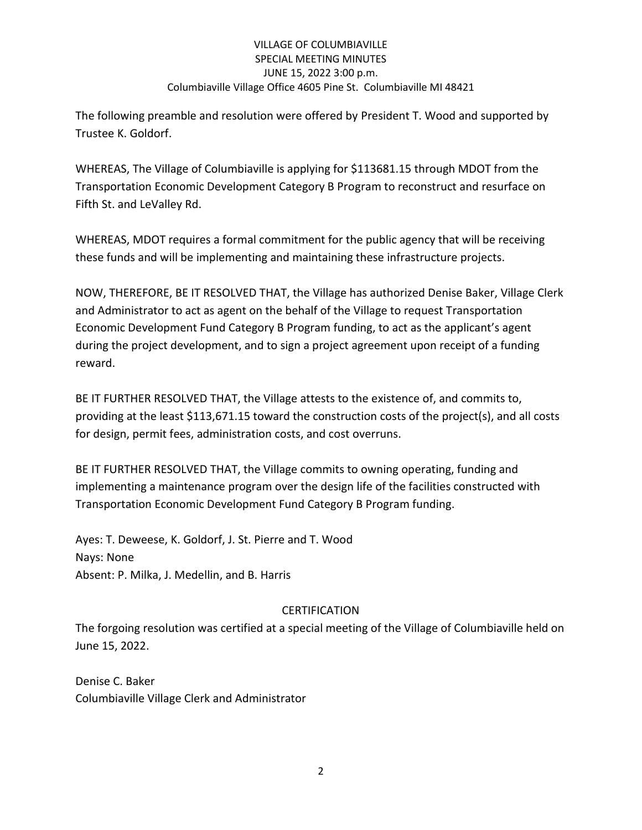# VILLAGE OF COLUMBIAVILLE SPECIAL MEETING MINUTES JUNE 15, 2022 3:00 p.m. Columbiaville Village Office 4605 Pine St. Columbiaville MI 48421

The following preamble and resolution were offered by President T. Wood and supported by Trustee K. Goldorf.

WHEREAS, The Village of Columbiaville is applying for \$113681.15 through MDOT from the Transportation Economic Development Category B Program to reconstruct and resurface on Fifth St. and LeValley Rd.

WHEREAS, MDOT requires a formal commitment for the public agency that will be receiving these funds and will be implementing and maintaining these infrastructure projects.

NOW, THEREFORE, BE IT RESOLVED THAT, the Village has authorized Denise Baker, Village Clerk and Administrator to act as agent on the behalf of the Village to request Transportation Economic Development Fund Category B Program funding, to act as the applicant's agent during the project development, and to sign a project agreement upon receipt of a funding reward.

BE IT FURTHER RESOLVED THAT, the Village attests to the existence of, and commits to, providing at the least \$113,671.15 toward the construction costs of the project(s), and all costs for design, permit fees, administration costs, and cost overruns.

BE IT FURTHER RESOLVED THAT, the Village commits to owning operating, funding and implementing a maintenance program over the design life of the facilities constructed with Transportation Economic Development Fund Category B Program funding.

Ayes: T. Deweese, K. Goldorf, J. St. Pierre and T. Wood Nays: None Absent: P. Milka, J. Medellin, and B. Harris

# CERTIFICATION

The forgoing resolution was certified at a special meeting of the Village of Columbiaville held on June 15, 2022.

Denise C. Baker Columbiaville Village Clerk and Administrator